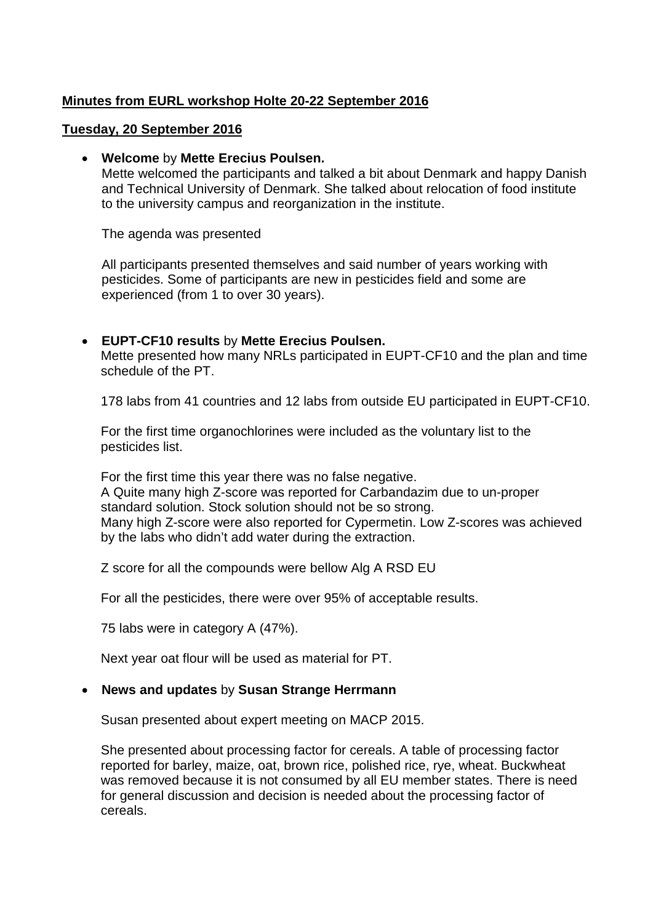# **Minutes from EURL workshop Holte 20-22 September 2016**

### **Tuesday, 20 September 2016**

### • **Welcome** by **Mette Erecius Poulsen.**

Mette welcomed the participants and talked a bit about Denmark and happy Danish and Technical University of Denmark. She talked about relocation of food institute to the university campus and reorganization in the institute.

The agenda was presented

All participants presented themselves and said number of years working with pesticides. Some of participants are new in pesticides field and some are experienced (from 1 to over 30 years).

## • **EUPT-CF10 results** by **Mette Erecius Poulsen.**

Mette presented how many NRLs participated in EUPT-CF10 and the plan and time schedule of the PT.

178 labs from 41 countries and 12 labs from outside EU participated in EUPT-CF10.

For the first time organochlorines were included as the voluntary list to the pesticides list.

For the first time this year there was no false negative. A Quite many high Z-score was reported for Carbandazim due to un-proper standard solution. Stock solution should not be so strong. Many high Z-score were also reported for Cypermetin. Low Z-scores was achieved by the labs who didn't add water during the extraction.

Z score for all the compounds were bellow Alg A RSD EU

For all the pesticides, there were over 95% of acceptable results.

75 labs were in category A (47%).

Next year oat flour will be used as material for PT.

## • **News and updates** by **Susan Strange Herrmann**

Susan presented about expert meeting on MACP 2015.

She presented about processing factor for cereals. A table of processing factor reported for barley, maize, oat, brown rice, polished rice, rye, wheat. Buckwheat was removed because it is not consumed by all EU member states. There is need for general discussion and decision is needed about the processing factor of cereals.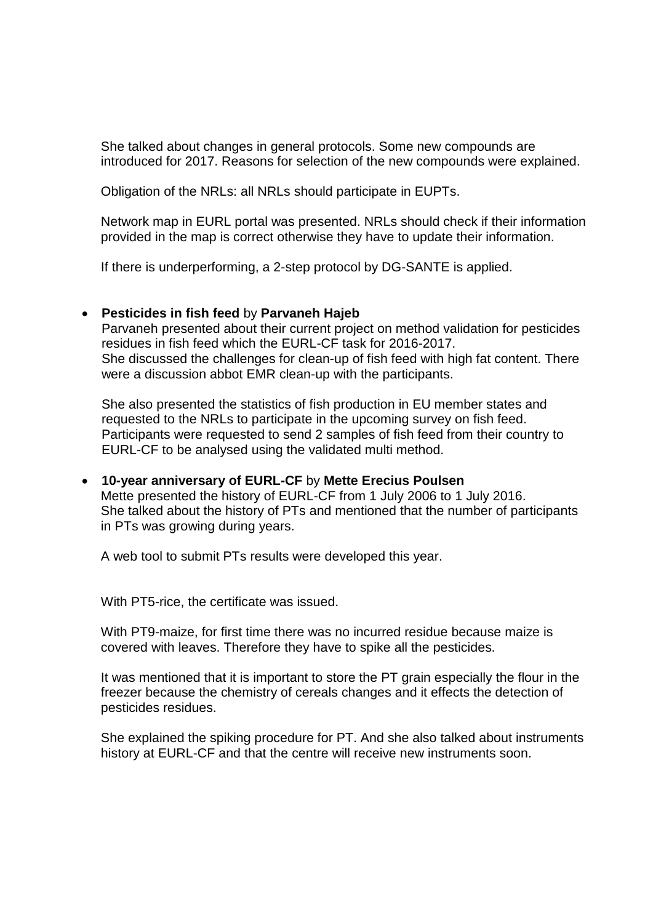She talked about changes in general protocols. Some new compounds are introduced for 2017. Reasons for selection of the new compounds were explained.

Obligation of the NRLs: all NRLs should participate in EUPTs.

Network map in EURL portal was presented. NRLs should check if their information provided in the map is correct otherwise they have to update their information.

If there is underperforming, a 2-step protocol by DG-SANTE is applied.

### • **Pesticides in fish feed** by **Parvaneh Hajeb**

Parvaneh presented about their current project on method validation for pesticides residues in fish feed which the EURL-CF task for 2016-2017. She discussed the challenges for clean-up of fish feed with high fat content. There were a discussion abbot EMR clean-up with the participants.

She also presented the statistics of fish production in EU member states and requested to the NRLs to participate in the upcoming survey on fish feed. Participants were requested to send 2 samples of fish feed from their country to EURL-CF to be analysed using the validated multi method.

• **10-year anniversary of EURL-CF** by **Mette Erecius Poulsen** Mette presented the history of EURL-CF from 1 July 2006 to 1 July 2016. She talked about the history of PTs and mentioned that the number of participants in PTs was growing during years.

A web tool to submit PTs results were developed this year.

With PT5-rice, the certificate was issued.

With PT9-maize, for first time there was no incurred residue because maize is covered with leaves. Therefore they have to spike all the pesticides.

It was mentioned that it is important to store the PT grain especially the flour in the freezer because the chemistry of cereals changes and it effects the detection of pesticides residues.

She explained the spiking procedure for PT. And she also talked about instruments history at EURL-CF and that the centre will receive new instruments soon.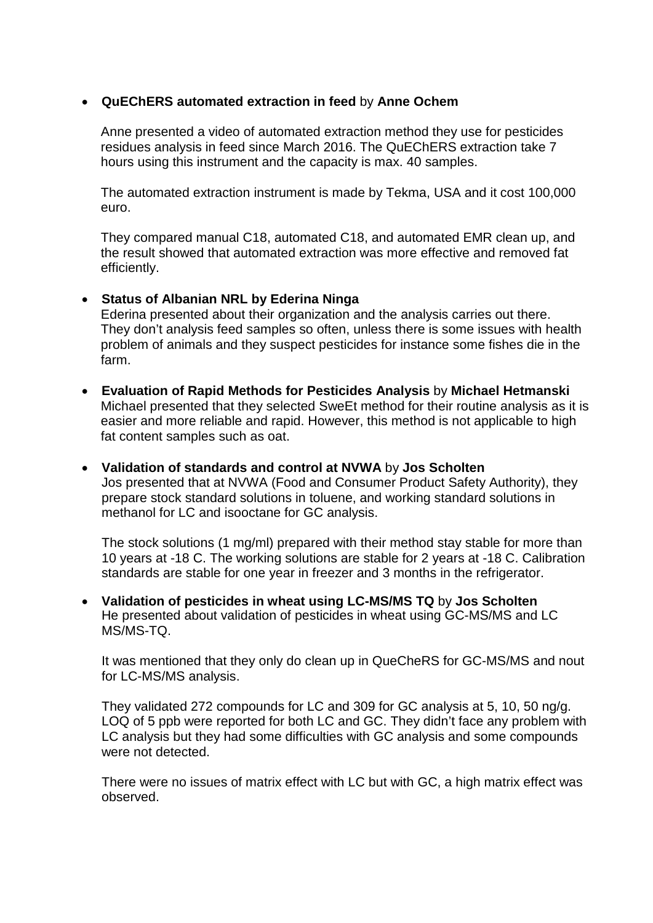## • **QuEChERS automated extraction in feed** by **Anne Ochem**

Anne presented a video of automated extraction method they use for pesticides residues analysis in feed since March 2016. The QuEChERS extraction take 7 hours using this instrument and the capacity is max. 40 samples.

The automated extraction instrument is made by Tekma, USA and it cost 100,000 euro.

They compared manual C18, automated C18, and automated EMR clean up, and the result showed that automated extraction was more effective and removed fat efficiently.

## • **Status of Albanian NRL by Ederina Ninga**

Ederina presented about their organization and the analysis carries out there. They don't analysis feed samples so often, unless there is some issues with health problem of animals and they suspect pesticides for instance some fishes die in the farm.

- **Evaluation of Rapid Methods for Pesticides Analysis** by **Michael Hetmanski** Michael presented that they selected SweEt method for their routine analysis as it is easier and more reliable and rapid. However, this method is not applicable to high fat content samples such as oat.
- **Validation of standards and control at NVWA** by **Jos Scholten** Jos presented that at NVWA (Food and Consumer Product Safety Authority), they prepare stock standard solutions in toluene, and working standard solutions in methanol for LC and isooctane for GC analysis.

The stock solutions (1 mg/ml) prepared with their method stay stable for more than 10 years at -18 C. The working solutions are stable for 2 years at -18 C. Calibration standards are stable for one year in freezer and 3 months in the refrigerator.

• **Validation of pesticides in wheat using LC-MS/MS TQ** by **Jos Scholten** He presented about validation of pesticides in wheat using GC-MS/MS and LC MS/MS-TQ.

It was mentioned that they only do clean up in QueCheRS for GC-MS/MS and nout for LC-MS/MS analysis.

They validated 272 compounds for LC and 309 for GC analysis at 5, 10, 50 ng/g. LOQ of 5 ppb were reported for both LC and GC. They didn't face any problem with LC analysis but they had some difficulties with GC analysis and some compounds were not detected.

There were no issues of matrix effect with LC but with GC, a high matrix effect was observed.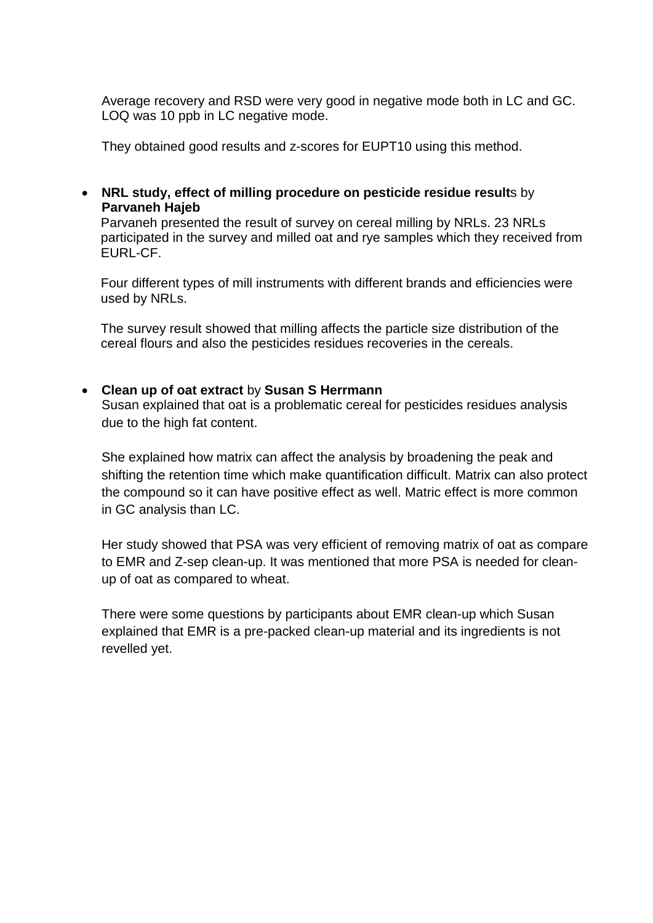Average recovery and RSD were very good in negative mode both in LC and GC. LOQ was 10 ppb in LC negative mode.

They obtained good results and z-scores for EUPT10 using this method.

## • **NRL study, effect of milling procedure on pesticide residue result**s by **Parvaneh Hajeb**

Parvaneh presented the result of survey on cereal milling by NRLs. 23 NRLs participated in the survey and milled oat and rye samples which they received from EURL-CF.

Four different types of mill instruments with different brands and efficiencies were used by NRLs.

The survey result showed that milling affects the particle size distribution of the cereal flours and also the pesticides residues recoveries in the cereals.

## • **Clean up of oat extract** by **Susan S Herrmann**

Susan explained that oat is a problematic cereal for pesticides residues analysis due to the high fat content.

She explained how matrix can affect the analysis by broadening the peak and shifting the retention time which make quantification difficult. Matrix can also protect the compound so it can have positive effect as well. Matric effect is more common in GC analysis than LC.

Her study showed that PSA was very efficient of removing matrix of oat as compare to EMR and Z-sep clean-up. It was mentioned that more PSA is needed for cleanup of oat as compared to wheat.

There were some questions by participants about EMR clean-up which Susan explained that EMR is a pre-packed clean-up material and its ingredients is not revelled yet.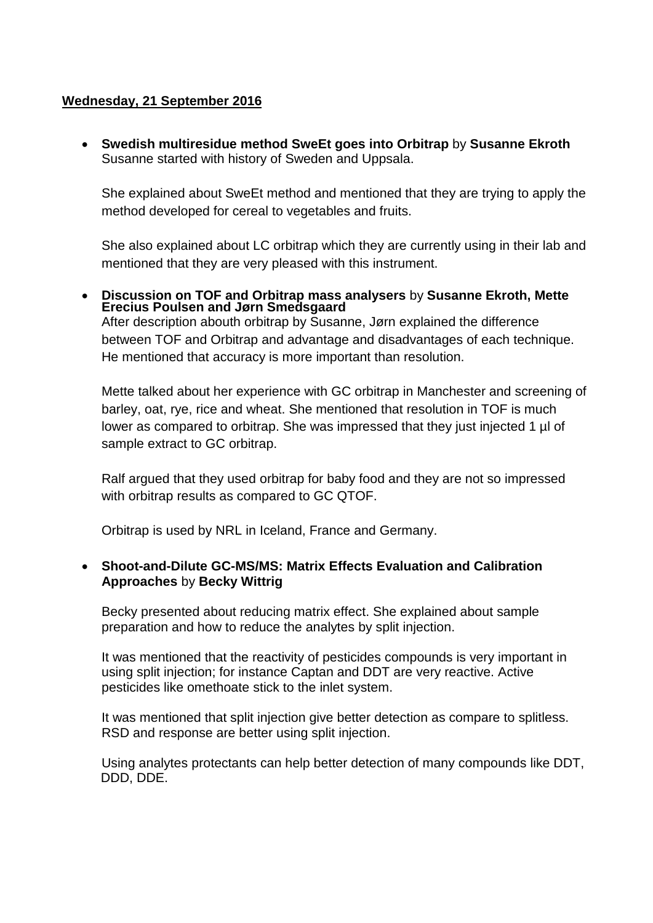## **Wednesday, 21 September 2016**

• **Swedish multiresidue method SweEt goes into Orbitrap** by **Susanne Ekroth** Susanne started with history of Sweden and Uppsala.

She explained about SweEt method and mentioned that they are trying to apply the method developed for cereal to vegetables and fruits.

She also explained about LC orbitrap which they are currently using in their lab and mentioned that they are very pleased with this instrument.

• **Discussion on TOF and Orbitrap mass analysers** by **Susanne Ekroth, Mette Erecius Poulsen and Jørn Smedsgaard** After description abouth orbitrap by Susanne, Jørn explained the difference between TOF and Orbitrap and advantage and disadvantages of each technique. He mentioned that accuracy is more important than resolution.

Mette talked about her experience with GC orbitrap in Manchester and screening of barley, oat, rye, rice and wheat. She mentioned that resolution in TOF is much lower as compared to orbitrap. She was impressed that they just injected 1 µl of sample extract to GC orbitrap.

Ralf argued that they used orbitrap for baby food and they are not so impressed with orbitrap results as compared to GC QTOF.

Orbitrap is used by NRL in Iceland, France and Germany.

## • **Shoot-and-Dilute GC-MS/MS: Matrix Effects Evaluation and Calibration Approaches** by **Becky Wittrig**

Becky presented about reducing matrix effect. She explained about sample preparation and how to reduce the analytes by split injection.

It was mentioned that the reactivity of pesticides compounds is very important in using split injection; for instance Captan and DDT are very reactive. Active pesticides like omethoate stick to the inlet system.

It was mentioned that split injection give better detection as compare to splitless. RSD and response are better using split injection.

Using analytes protectants can help better detection of many compounds like DDT, DDD, DDE.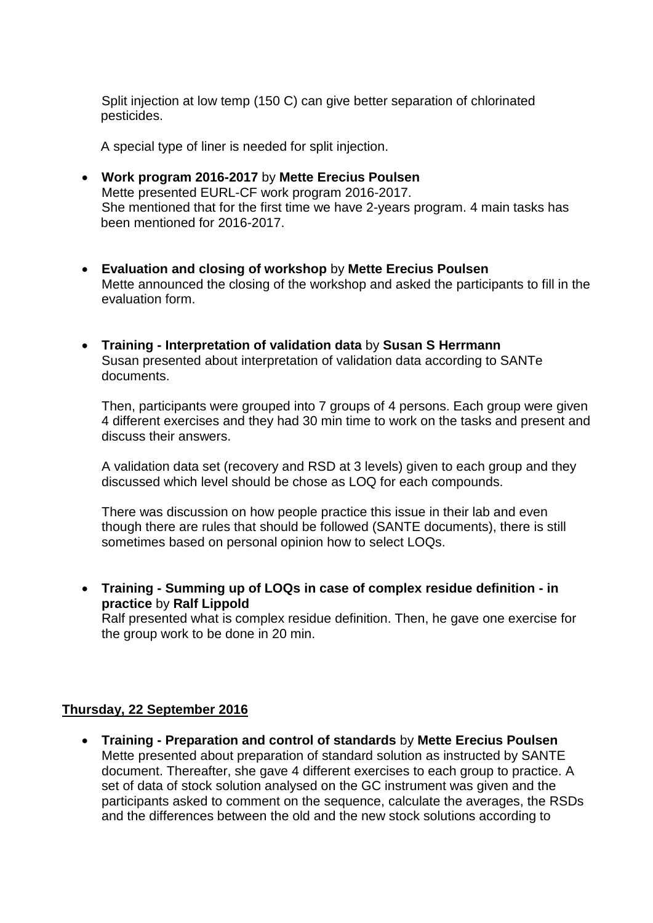Split injection at low temp (150 C) can give better separation of chlorinated pesticides.

A special type of liner is needed for split injection.

- **Work program 2016-2017** by **Mette Erecius Poulsen** Mette presented EURL-CF work program 2016-2017. She mentioned that for the first time we have 2-years program. 4 main tasks has been mentioned for 2016-2017.
- **Evaluation and closing of workshop** by **Mette Erecius Poulsen** Mette announced the closing of the workshop and asked the participants to fill in the evaluation form.
- **Training - Interpretation of validation data** by **Susan S Herrmann** Susan presented about interpretation of validation data according to SANTe documents.

Then, participants were grouped into 7 groups of 4 persons. Each group were given 4 different exercises and they had 30 min time to work on the tasks and present and discuss their answers.

A validation data set (recovery and RSD at 3 levels) given to each group and they discussed which level should be chose as LOQ for each compounds.

There was discussion on how people practice this issue in their lab and even though there are rules that should be followed (SANTE documents), there is still sometimes based on personal opinion how to select LOQs.

• **Training - Summing up of LOQs in case of complex residue definition - in practice** by **Ralf Lippold**

Ralf presented what is complex residue definition. Then, he gave one exercise for the group work to be done in 20 min.

#### **Thursday, 22 September 2016**

• **Training - Preparation and control of standards** by **Mette Erecius Poulsen** Mette presented about preparation of standard solution as instructed by SANTE document. Thereafter, she gave 4 different exercises to each group to practice. A set of data of stock solution analysed on the GC instrument was given and the participants asked to comment on the sequence, calculate the averages, the RSDs and the differences between the old and the new stock solutions according to